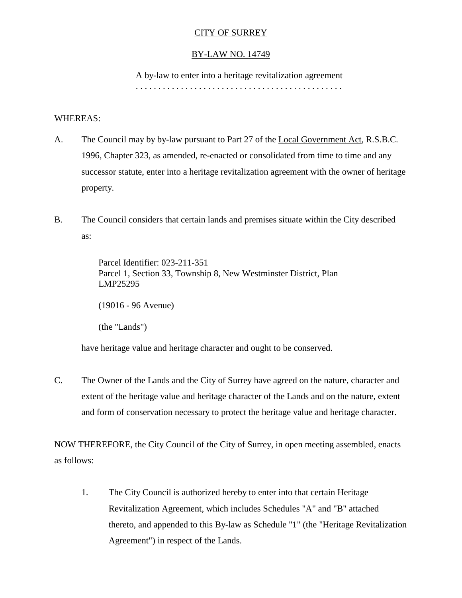# CITY OF SURREY

# BY-LAW NO. 14749

A by-law to enter into a heritage revitalization agreement

. . . . . . . . . . . . . . . . . . . . . . . . . . . . . . . . . . . . . . . . . . . . . .

## WHEREAS:

- A. The Council may by by-law pursuant to Part 27 of the Local Government Act, R.S.B.C. 1996, Chapter 323, as amended, re-enacted or consolidated from time to time and any successor statute, enter into a heritage revitalization agreement with the owner of heritage property.
- B. The Council considers that certain lands and premises situate within the City described as:

Parcel Identifier: 023-211-351 Parcel 1, Section 33, Township 8, New Westminster District, Plan LMP25295

(19016 - 96 Avenue)

(the "Lands")

have heritage value and heritage character and ought to be conserved.

C. The Owner of the Lands and the City of Surrey have agreed on the nature, character and extent of the heritage value and heritage character of the Lands and on the nature, extent and form of conservation necessary to protect the heritage value and heritage character.

NOW THEREFORE, the City Council of the City of Surrey, in open meeting assembled, enacts as follows:

1. The City Council is authorized hereby to enter into that certain Heritage Revitalization Agreement, which includes Schedules "A" and "B" attached thereto, and appended to this By-law as Schedule "1" (the "Heritage Revitalization Agreement") in respect of the Lands.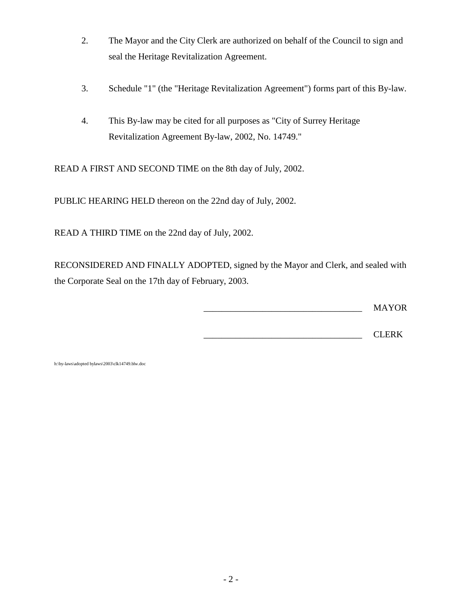- 2. The Mayor and the City Clerk are authorized on behalf of the Council to sign and seal the Heritage Revitalization Agreement.
- 3. Schedule "1" (the "Heritage Revitalization Agreement") forms part of this By-law.
- 4. This By-law may be cited for all purposes as "City of Surrey Heritage Revitalization Agreement By-law, 2002, No. 14749."

READ A FIRST AND SECOND TIME on the 8th day of July, 2002.

PUBLIC HEARING HELD thereon on the 22nd day of July, 2002.

READ A THIRD TIME on the 22nd day of July, 2002.

RECONSIDERED AND FINALLY ADOPTED, signed by the Mayor and Clerk, and sealed with the Corporate Seal on the 17th day of February, 2003.

\_\_\_\_\_\_\_\_\_\_\_\_\_\_\_\_\_\_\_\_\_\_\_\_\_\_\_\_\_\_\_\_\_\_\_ MAYOR

\_\_\_\_\_\_\_\_\_\_\_\_\_\_\_\_\_\_\_\_\_\_\_\_\_\_\_\_\_\_\_\_\_\_\_ CLERK

h:\by-laws\adopted bylaws\2003\clk14749.blw.doc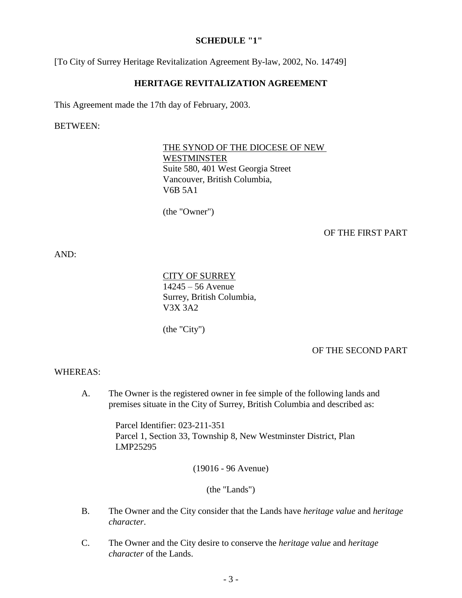#### **SCHEDULE "1"**

[To City of Surrey Heritage Revitalization Agreement By-law, 2002, No. 14749]

### **HERITAGE REVITALIZATION AGREEMENT**

This Agreement made the 17th day of February, 2003.

BETWEEN:

THE SYNOD OF THE DIOCESE OF NEW WESTMINSTER Suite 580, 401 West Georgia Street Vancouver, British Columbia, V6B 5A1

(the "Owner")

#### OF THE FIRST PART

AND:

CITY OF SURREY 14245 – 56 Avenue Surrey, British Columbia, V3X 3A2

(the "City")

OF THE SECOND PART

#### WHEREAS:

A. The Owner is the registered owner in fee simple of the following lands and premises situate in the City of Surrey, British Columbia and described as:

> Parcel Identifier: 023-211-351 Parcel 1, Section 33, Township 8, New Westminster District, Plan LMP25295

> > (19016 - 96 Avenue)

(the "Lands")

- B. The Owner and the City consider that the Lands have *heritage value* and *heritage character*.
- C. The Owner and the City desire to conserve the *heritage value* and *heritage character* of the Lands.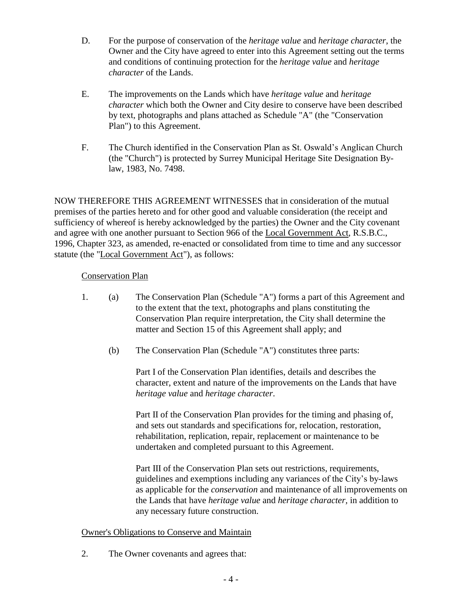- D. For the purpose of conservation of the *heritage value* and *heritage character*, the Owner and the City have agreed to enter into this Agreement setting out the terms and conditions of continuing protection for the *heritage value* and *heritage character* of the Lands.
- E. The improvements on the Lands which have *heritage value* and *heritage character* which both the Owner and City desire to conserve have been described by text, photographs and plans attached as Schedule "A" (the "Conservation Plan") to this Agreement.
- F. The Church identified in the Conservation Plan as St. Oswald's Anglican Church (the "Church") is protected by Surrey Municipal Heritage Site Designation Bylaw, 1983, No. 7498.

NOW THEREFORE THIS AGREEMENT WITNESSES that in consideration of the mutual premises of the parties hereto and for other good and valuable consideration (the receipt and sufficiency of whereof is hereby acknowledged by the parties) the Owner and the City covenant and agree with one another pursuant to Section 966 of the Local Government Act, R.S.B.C., 1996, Chapter 323, as amended, re-enacted or consolidated from time to time and any successor statute (the "Local Government Act"), as follows:

# Conservation Plan

- 1. (a) The Conservation Plan (Schedule "A") forms a part of this Agreement and to the extent that the text, photographs and plans constituting the Conservation Plan require interpretation, the City shall determine the matter and Section 15 of this Agreement shall apply; and
	- (b) The Conservation Plan (Schedule "A") constitutes three parts:

Part I of the Conservation Plan identifies, details and describes the character, extent and nature of the improvements on the Lands that have *heritage value* and *heritage character*.

Part II of the Conservation Plan provides for the timing and phasing of, and sets out standards and specifications for, relocation, restoration, rehabilitation, replication, repair, replacement or maintenance to be undertaken and completed pursuant to this Agreement.

Part III of the Conservation Plan sets out restrictions, requirements, guidelines and exemptions including any variances of the City's by-laws as applicable for the *conservation* and maintenance of all improvements on the Lands that have *heritage value* and *heritage character,* in addition to any necessary future construction.

# Owner's Obligations to Conserve and Maintain

2. The Owner covenants and agrees that: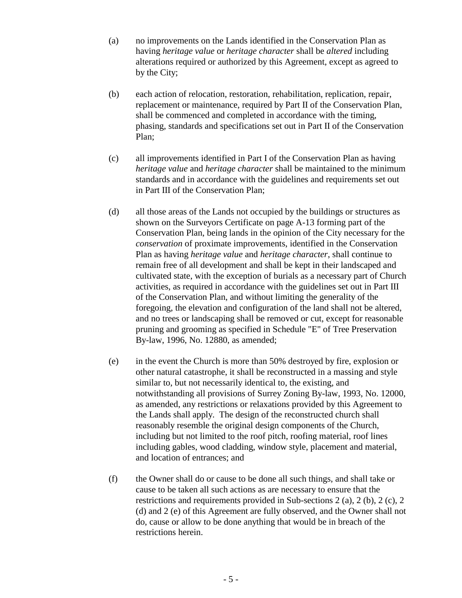- (a) no improvements on the Lands identified in the Conservation Plan as having *heritage value* or *heritage character* shall be *altered* including alterations required or authorized by this Agreement, except as agreed to by the City;
- (b) each action of relocation, restoration, rehabilitation, replication, repair, replacement or maintenance, required by Part II of the Conservation Plan, shall be commenced and completed in accordance with the timing, phasing, standards and specifications set out in Part II of the Conservation Plan;
- (c) all improvements identified in Part I of the Conservation Plan as having *heritage value* and *heritage character* shall be maintained to the minimum standards and in accordance with the guidelines and requirements set out in Part III of the Conservation Plan;
- (d) all those areas of the Lands not occupied by the buildings or structures as shown on the Surveyors Certificate on page A-13 forming part of the Conservation Plan, being lands in the opinion of the City necessary for the *conservation* of proximate improvements, identified in the Conservation Plan as having *heritage value* and *heritage character*, shall continue to remain free of all development and shall be kept in their landscaped and cultivated state, with the exception of burials as a necessary part of Church activities, as required in accordance with the guidelines set out in Part III of the Conservation Plan, and without limiting the generality of the foregoing, the elevation and configuration of the land shall not be altered, and no trees or landscaping shall be removed or cut, except for reasonable pruning and grooming as specified in Schedule "E" of Tree Preservation By-law, 1996, No. 12880, as amended;
- (e) in the event the Church is more than 50% destroyed by fire, explosion or other natural catastrophe, it shall be reconstructed in a massing and style similar to, but not necessarily identical to, the existing, and notwithstanding all provisions of Surrey Zoning By-law, 1993, No. 12000, as amended, any restrictions or relaxations provided by this Agreement to the Lands shall apply. The design of the reconstructed church shall reasonably resemble the original design components of the Church, including but not limited to the roof pitch, roofing material, roof lines including gables, wood cladding, window style, placement and material, and location of entrances; and
- (f) the Owner shall do or cause to be done all such things, and shall take or cause to be taken all such actions as are necessary to ensure that the restrictions and requirements provided in Sub-sections 2 (a), 2 (b), 2 (c), 2 (d) and 2 (e) of this Agreement are fully observed, and the Owner shall not do, cause or allow to be done anything that would be in breach of the restrictions herein.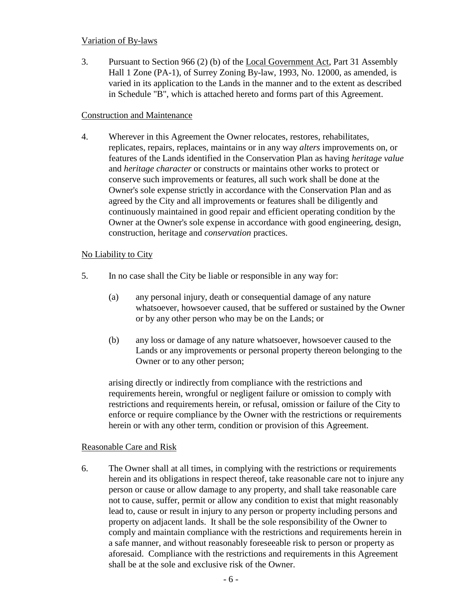## Variation of By-laws

3. Pursuant to Section 966 (2) (b) of the Local Government Act, Part 31 Assembly Hall 1 Zone (PA-1), of Surrey Zoning By-law, 1993, No. 12000, as amended, is varied in its application to the Lands in the manner and to the extent as described in Schedule "B", which is attached hereto and forms part of this Agreement.

## Construction and Maintenance

4. Wherever in this Agreement the Owner relocates, restores, rehabilitates, replicates, repairs, replaces, maintains or in any way *alters* improvements on, or features of the Lands identified in the Conservation Plan as having *heritage value*  and *heritage character* or constructs or maintains other works to protect or conserve such improvements or features, all such work shall be done at the Owner's sole expense strictly in accordance with the Conservation Plan and as agreed by the City and all improvements or features shall be diligently and continuously maintained in good repair and efficient operating condition by the Owner at the Owner's sole expense in accordance with good engineering, design, construction, heritage and *conservation* practices.

# No Liability to City

- 5. In no case shall the City be liable or responsible in any way for:
	- (a) any personal injury, death or consequential damage of any nature whatsoever, howsoever caused, that be suffered or sustained by the Owner or by any other person who may be on the Lands; or
	- (b) any loss or damage of any nature whatsoever, howsoever caused to the Lands or any improvements or personal property thereon belonging to the Owner or to any other person;

arising directly or indirectly from compliance with the restrictions and requirements herein, wrongful or negligent failure or omission to comply with restrictions and requirements herein, or refusal, omission or failure of the City to enforce or require compliance by the Owner with the restrictions or requirements herein or with any other term, condition or provision of this Agreement.

# Reasonable Care and Risk

6. The Owner shall at all times, in complying with the restrictions or requirements herein and its obligations in respect thereof, take reasonable care not to injure any person or cause or allow damage to any property, and shall take reasonable care not to cause, suffer, permit or allow any condition to exist that might reasonably lead to, cause or result in injury to any person or property including persons and property on adjacent lands. It shall be the sole responsibility of the Owner to comply and maintain compliance with the restrictions and requirements herein in a safe manner, and without reasonably foreseeable risk to person or property as aforesaid. Compliance with the restrictions and requirements in this Agreement shall be at the sole and exclusive risk of the Owner.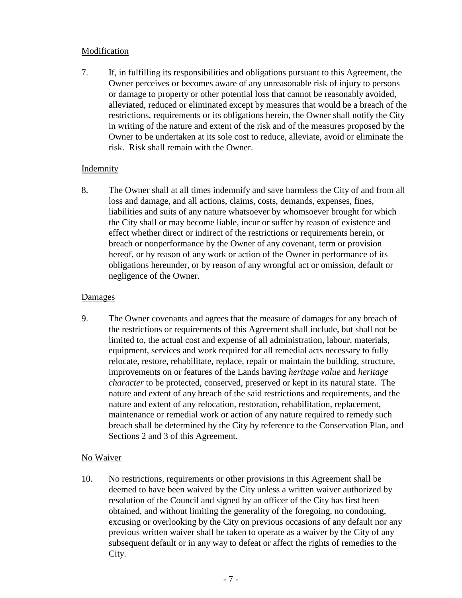# Modification

7. If, in fulfilling its responsibilities and obligations pursuant to this Agreement, the Owner perceives or becomes aware of any unreasonable risk of injury to persons or damage to property or other potential loss that cannot be reasonably avoided, alleviated, reduced or eliminated except by measures that would be a breach of the restrictions, requirements or its obligations herein, the Owner shall notify the City in writing of the nature and extent of the risk and of the measures proposed by the Owner to be undertaken at its sole cost to reduce, alleviate, avoid or eliminate the risk. Risk shall remain with the Owner.

## Indemnity

8. The Owner shall at all times indemnify and save harmless the City of and from all loss and damage, and all actions, claims, costs, demands, expenses, fines, liabilities and suits of any nature whatsoever by whomsoever brought for which the City shall or may become liable, incur or suffer by reason of existence and effect whether direct or indirect of the restrictions or requirements herein, or breach or nonperformance by the Owner of any covenant, term or provision hereof, or by reason of any work or action of the Owner in performance of its obligations hereunder, or by reason of any wrongful act or omission, default or negligence of the Owner.

## **Damages**

9. The Owner covenants and agrees that the measure of damages for any breach of the restrictions or requirements of this Agreement shall include, but shall not be limited to, the actual cost and expense of all administration, labour, materials, equipment, services and work required for all remedial acts necessary to fully relocate, restore, rehabilitate, replace, repair or maintain the building, structure, improvements on or features of the Lands having *heritage value* and *heritage character* to be protected, conserved, preserved or kept in its natural state. The nature and extent of any breach of the said restrictions and requirements, and the nature and extent of any relocation, restoration, rehabilitation, replacement, maintenance or remedial work or action of any nature required to remedy such breach shall be determined by the City by reference to the Conservation Plan, and Sections 2 and 3 of this Agreement.

### No Waiver

10. No restrictions, requirements or other provisions in this Agreement shall be deemed to have been waived by the City unless a written waiver authorized by resolution of the Council and signed by an officer of the City has first been obtained, and without limiting the generality of the foregoing, no condoning, excusing or overlooking by the City on previous occasions of any default nor any previous written waiver shall be taken to operate as a waiver by the City of any subsequent default or in any way to defeat or affect the rights of remedies to the City.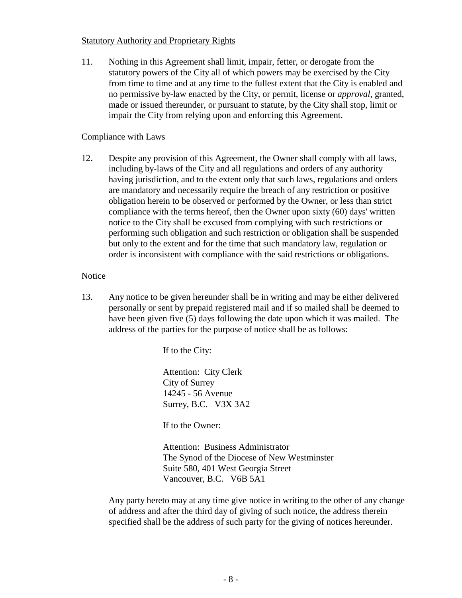## Statutory Authority and Proprietary Rights

11. Nothing in this Agreement shall limit, impair, fetter, or derogate from the statutory powers of the City all of which powers may be exercised by the City from time to time and at any time to the fullest extent that the City is enabled and no permissive by-law enacted by the City, or permit, license or *approval*, granted, made or issued thereunder, or pursuant to statute, by the City shall stop, limit or impair the City from relying upon and enforcing this Agreement.

# Compliance with Laws

12. Despite any provision of this Agreement, the Owner shall comply with all laws, including by-laws of the City and all regulations and orders of any authority having jurisdiction, and to the extent only that such laws, regulations and orders are mandatory and necessarily require the breach of any restriction or positive obligation herein to be observed or performed by the Owner, or less than strict compliance with the terms hereof, then the Owner upon sixty (60) days' written notice to the City shall be excused from complying with such restrictions or performing such obligation and such restriction or obligation shall be suspended but only to the extent and for the time that such mandatory law, regulation or order is inconsistent with compliance with the said restrictions or obligations.

## Notice

13. Any notice to be given hereunder shall be in writing and may be either delivered personally or sent by prepaid registered mail and if so mailed shall be deemed to have been given five (5) days following the date upon which it was mailed. The address of the parties for the purpose of notice shall be as follows:

If to the City:

Attention: City Clerk City of Surrey 14245 - 56 Avenue Surrey, B.C. V3X 3A2

If to the Owner:

Attention: Business Administrator The Synod of the Diocese of New Westminster Suite 580, 401 West Georgia Street Vancouver, B.C. V6B 5A1

Any party hereto may at any time give notice in writing to the other of any change of address and after the third day of giving of such notice, the address therein specified shall be the address of such party for the giving of notices hereunder.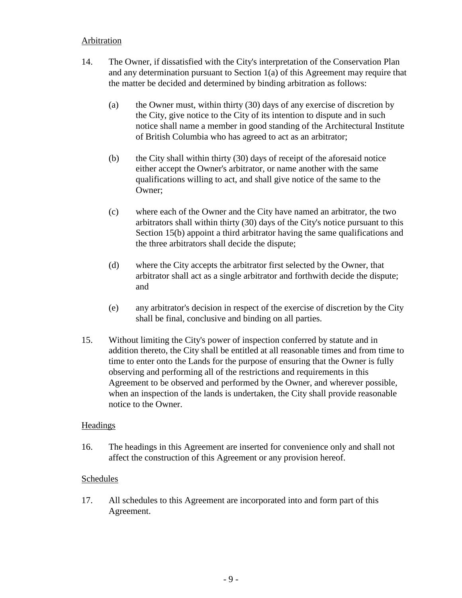#### **Arbitration**

- 14. The Owner, if dissatisfied with the City's interpretation of the Conservation Plan and any determination pursuant to Section 1(a) of this Agreement may require that the matter be decided and determined by binding arbitration as follows:
	- (a) the Owner must, within thirty (30) days of any exercise of discretion by the City, give notice to the City of its intention to dispute and in such notice shall name a member in good standing of the Architectural Institute of British Columbia who has agreed to act as an arbitrator;
	- (b) the City shall within thirty (30) days of receipt of the aforesaid notice either accept the Owner's arbitrator, or name another with the same qualifications willing to act, and shall give notice of the same to the Owner;
	- (c) where each of the Owner and the City have named an arbitrator, the two arbitrators shall within thirty (30) days of the City's notice pursuant to this Section 15(b) appoint a third arbitrator having the same qualifications and the three arbitrators shall decide the dispute;
	- (d) where the City accepts the arbitrator first selected by the Owner, that arbitrator shall act as a single arbitrator and forthwith decide the dispute; and
	- (e) any arbitrator's decision in respect of the exercise of discretion by the City shall be final, conclusive and binding on all parties.
- 15. Without limiting the City's power of inspection conferred by statute and in addition thereto, the City shall be entitled at all reasonable times and from time to time to enter onto the Lands for the purpose of ensuring that the Owner is fully observing and performing all of the restrictions and requirements in this Agreement to be observed and performed by the Owner, and wherever possible, when an inspection of the lands is undertaken, the City shall provide reasonable notice to the Owner.

### **Headings**

16. The headings in this Agreement are inserted for convenience only and shall not affect the construction of this Agreement or any provision hereof.

### Schedules

17. All schedules to this Agreement are incorporated into and form part of this Agreement.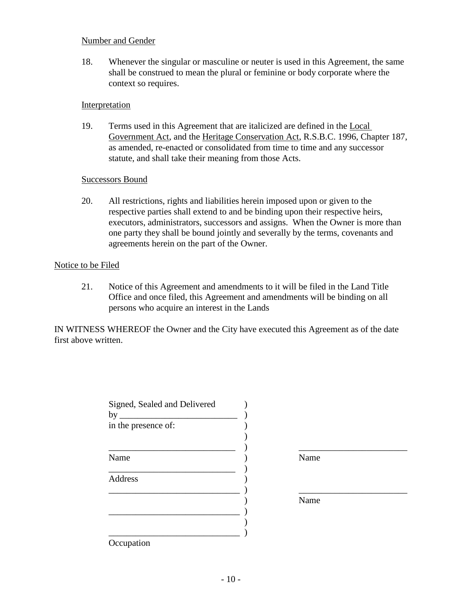### Number and Gender

18. Whenever the singular or masculine or neuter is used in this Agreement, the same shall be construed to mean the plural or feminine or body corporate where the context so requires.

#### Interpretation

19. Terms used in this Agreement that are italicized are defined in the Local Government Act, and the Heritage Conservation Act, R.S.B.C. 1996, Chapter 187, as amended, re-enacted or consolidated from time to time and any successor statute, and shall take their meaning from those Acts.

#### Successors Bound

20. All restrictions, rights and liabilities herein imposed upon or given to the respective parties shall extend to and be binding upon their respective heirs, executors, administrators, successors and assigns. When the Owner is more than one party they shall be bound jointly and severally by the terms, covenants and agreements herein on the part of the Owner.

#### Notice to be Filed

21. Notice of this Agreement and amendments to it will be filed in the Land Title Office and once filed, this Agreement and amendments will be binding on all persons who acquire an interest in the Lands

IN WITNESS WHEREOF the Owner and the City have executed this Agreement as of the date first above written.

| Signed, Sealed and Delivered<br>by |      |  |
|------------------------------------|------|--|
| in the presence of:                |      |  |
|                                    |      |  |
| Name                               | Name |  |
| Address                            |      |  |
|                                    | Name |  |
|                                    |      |  |
| $\Omega$ counction                 |      |  |

**Occupation**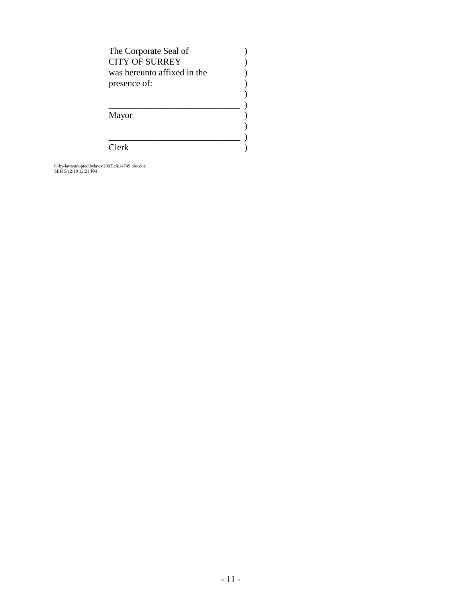| The Corporate Seal of       |  |
|-----------------------------|--|
| <b>CITY OF SURREY</b>       |  |
| was hereunto affixed in the |  |
| presence of:                |  |
|                             |  |
|                             |  |
| Mayor                       |  |
|                             |  |
|                             |  |
| $C$ lerk                    |  |

h:\by-laws\adopted bylaws\2003\clk14749.blw.doc SEH 5/12/10 12:21 PM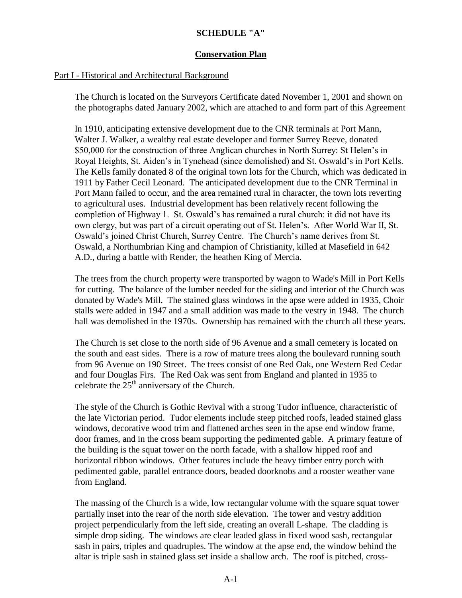# **SCHEDULE "A"**

## **Conservation Plan**

## Part I - Historical and Architectural Background

The Church is located on the Surveyors Certificate dated November 1, 2001 and shown on the photographs dated January 2002, which are attached to and form part of this Agreement

In 1910, anticipating extensive development due to the CNR terminals at Port Mann, Walter J. Walker, a wealthy real estate developer and former Surrey Reeve, donated \$50,000 for the construction of three Anglican churches in North Surrey: St Helen's in Royal Heights, St. Aiden's in Tynehead (since demolished) and St. Oswald's in Port Kells. The Kells family donated 8 of the original town lots for the Church, which was dedicated in 1911 by Father Cecil Leonard. The anticipated development due to the CNR Terminal in Port Mann failed to occur, and the area remained rural in character, the town lots reverting to agricultural uses. Industrial development has been relatively recent following the completion of Highway 1. St. Oswald's has remained a rural church: it did not have its own clergy, but was part of a circuit operating out of St. Helen's. After World War II, St. Oswald's joined Christ Church, Surrey Centre. The Church's name derives from St. Oswald, a Northumbrian King and champion of Christianity, killed at Masefield in 642 A.D., during a battle with Render, the heathen King of Mercia.

The trees from the church property were transported by wagon to Wade's Mill in Port Kells for cutting. The balance of the lumber needed for the siding and interior of the Church was donated by Wade's Mill. The stained glass windows in the apse were added in 1935, Choir stalls were added in 1947 and a small addition was made to the vestry in 1948. The church hall was demolished in the 1970s. Ownership has remained with the church all these years.

The Church is set close to the north side of 96 Avenue and a small cemetery is located on the south and east sides. There is a row of mature trees along the boulevard running south from 96 Avenue on 190 Street. The trees consist of one Red Oak, one Western Red Cedar and four Douglas Firs. The Red Oak was sent from England and planted in 1935 to celebrate the  $25<sup>th</sup>$  anniversary of the Church.

The style of the Church is Gothic Revival with a strong Tudor influence, characteristic of the late Victorian period. Tudor elements include steep pitched roofs, leaded stained glass windows, decorative wood trim and flattened arches seen in the apse end window frame, door frames, and in the cross beam supporting the pedimented gable. A primary feature of the building is the squat tower on the north facade, with a shallow hipped roof and horizontal ribbon windows. Other features include the heavy timber entry porch with pedimented gable, parallel entrance doors, beaded doorknobs and a rooster weather vane from England.

The massing of the Church is a wide, low rectangular volume with the square squat tower partially inset into the rear of the north side elevation. The tower and vestry addition project perpendicularly from the left side, creating an overall L-shape. The cladding is simple drop siding. The windows are clear leaded glass in fixed wood sash, rectangular sash in pairs, triples and quadruples. The window at the apse end, the window behind the altar is triple sash in stained glass set inside a shallow arch. The roof is pitched, cross-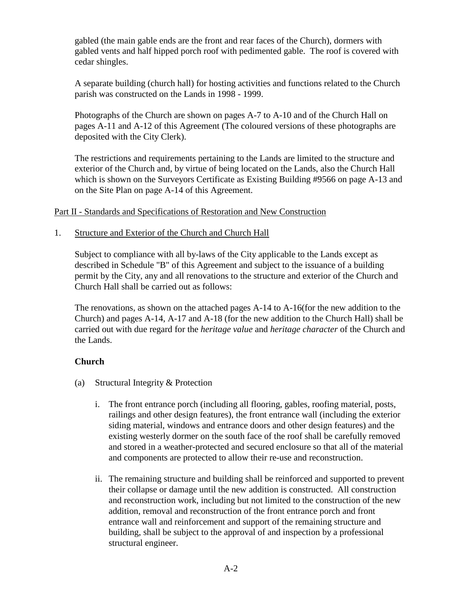gabled (the main gable ends are the front and rear faces of the Church), dormers with gabled vents and half hipped porch roof with pedimented gable. The roof is covered with cedar shingles.

A separate building (church hall) for hosting activities and functions related to the Church parish was constructed on the Lands in 1998 - 1999.

Photographs of the Church are shown on pages A-7 to A-10 and of the Church Hall on pages A-11 and A-12 of this Agreement (The coloured versions of these photographs are deposited with the City Clerk).

The restrictions and requirements pertaining to the Lands are limited to the structure and exterior of the Church and, by virtue of being located on the Lands, also the Church Hall which is shown on the Surveyors Certificate as Existing Building #9566 on page A-13 and on the Site Plan on page A-14 of this Agreement.

Part II - Standards and Specifications of Restoration and New Construction

1. Structure and Exterior of the Church and Church Hall

Subject to compliance with all by-laws of the City applicable to the Lands except as described in Schedule "B" of this Agreement and subject to the issuance of a building permit by the City, any and all renovations to the structure and exterior of the Church and Church Hall shall be carried out as follows:

The renovations, as shown on the attached pages A-14 to A-16(for the new addition to the Church) and pages A-14, A-17 and A-18 (for the new addition to the Church Hall) shall be carried out with due regard for the *heritage value* and *heritage character* of the Church and the Lands.

# **Church**

- (a) Structural Integrity & Protection
	- i. The front entrance porch (including all flooring, gables, roofing material, posts, railings and other design features), the front entrance wall (including the exterior siding material, windows and entrance doors and other design features) and the existing westerly dormer on the south face of the roof shall be carefully removed and stored in a weather-protected and secured enclosure so that all of the material and components are protected to allow their re-use and reconstruction.
	- ii. The remaining structure and building shall be reinforced and supported to prevent their collapse or damage until the new addition is constructed. All construction and reconstruction work, including but not limited to the construction of the new addition, removal and reconstruction of the front entrance porch and front entrance wall and reinforcement and support of the remaining structure and building, shall be subject to the approval of and inspection by a professional structural engineer.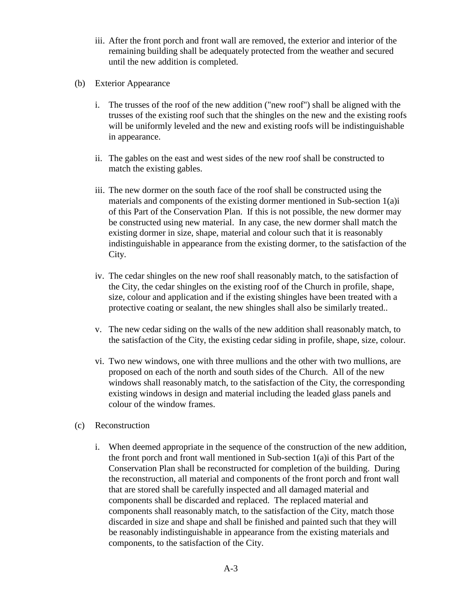- iii. After the front porch and front wall are removed, the exterior and interior of the remaining building shall be adequately protected from the weather and secured until the new addition is completed.
- (b) Exterior Appearance
	- i. The trusses of the roof of the new addition ("new roof") shall be aligned with the trusses of the existing roof such that the shingles on the new and the existing roofs will be uniformly leveled and the new and existing roofs will be indistinguishable in appearance.
	- ii. The gables on the east and west sides of the new roof shall be constructed to match the existing gables.
	- iii. The new dormer on the south face of the roof shall be constructed using the materials and components of the existing dormer mentioned in Sub-section 1(a)i of this Part of the Conservation Plan. If this is not possible, the new dormer may be constructed using new material. In any case, the new dormer shall match the existing dormer in size, shape, material and colour such that it is reasonably indistinguishable in appearance from the existing dormer, to the satisfaction of the City.
	- iv. The cedar shingles on the new roof shall reasonably match, to the satisfaction of the City, the cedar shingles on the existing roof of the Church in profile, shape, size, colour and application and if the existing shingles have been treated with a protective coating or sealant, the new shingles shall also be similarly treated..
	- v. The new cedar siding on the walls of the new addition shall reasonably match, to the satisfaction of the City, the existing cedar siding in profile, shape, size, colour.
	- vi. Two new windows, one with three mullions and the other with two mullions, are proposed on each of the north and south sides of the Church. All of the new windows shall reasonably match, to the satisfaction of the City, the corresponding existing windows in design and material including the leaded glass panels and colour of the window frames.
- (c) Reconstruction
	- i. When deemed appropriate in the sequence of the construction of the new addition, the front porch and front wall mentioned in Sub-section 1(a)i of this Part of the Conservation Plan shall be reconstructed for completion of the building. During the reconstruction, all material and components of the front porch and front wall that are stored shall be carefully inspected and all damaged material and components shall be discarded and replaced. The replaced material and components shall reasonably match, to the satisfaction of the City, match those discarded in size and shape and shall be finished and painted such that they will be reasonably indistinguishable in appearance from the existing materials and components, to the satisfaction of the City.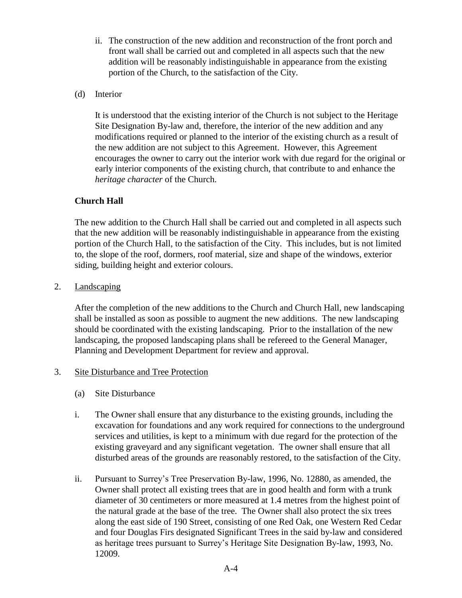- ii. The construction of the new addition and reconstruction of the front porch and front wall shall be carried out and completed in all aspects such that the new addition will be reasonably indistinguishable in appearance from the existing portion of the Church, to the satisfaction of the City.
- (d) Interior

It is understood that the existing interior of the Church is not subject to the Heritage Site Designation By-law and, therefore, the interior of the new addition and any modifications required or planned to the interior of the existing church as a result of the new addition are not subject to this Agreement. However, this Agreement encourages the owner to carry out the interior work with due regard for the original or early interior components of the existing church, that contribute to and enhance the *heritage character* of the Church.

## **Church Hall**

The new addition to the Church Hall shall be carried out and completed in all aspects such that the new addition will be reasonably indistinguishable in appearance from the existing portion of the Church Hall, to the satisfaction of the City. This includes, but is not limited to, the slope of the roof, dormers, roof material, size and shape of the windows, exterior siding, building height and exterior colours.

2. Landscaping

After the completion of the new additions to the Church and Church Hall, new landscaping shall be installed as soon as possible to augment the new additions. The new landscaping should be coordinated with the existing landscaping. Prior to the installation of the new landscaping, the proposed landscaping plans shall be refereed to the General Manager, Planning and Development Department for review and approval.

### 3. Site Disturbance and Tree Protection

- (a) Site Disturbance
- i. The Owner shall ensure that any disturbance to the existing grounds, including the excavation for foundations and any work required for connections to the underground services and utilities, is kept to a minimum with due regard for the protection of the existing graveyard and any significant vegetation. The owner shall ensure that all disturbed areas of the grounds are reasonably restored, to the satisfaction of the City.
- ii. Pursuant to Surrey's Tree Preservation By-law, 1996, No. 12880, as amended, the Owner shall protect all existing trees that are in good health and form with a trunk diameter of 30 centimeters or more measured at 1.4 metres from the highest point of the natural grade at the base of the tree. The Owner shall also protect the six trees along the east side of 190 Street, consisting of one Red Oak, one Western Red Cedar and four Douglas Firs designated Significant Trees in the said by-law and considered as heritage trees pursuant to Surrey's Heritage Site Designation By-law, 1993, No. 12009.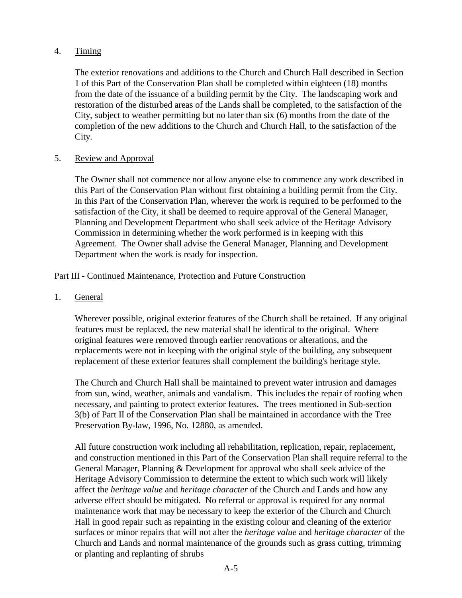# 4. Timing

The exterior renovations and additions to the Church and Church Hall described in Section 1 of this Part of the Conservation Plan shall be completed within eighteen (18) months from the date of the issuance of a building permit by the City. The landscaping work and restoration of the disturbed areas of the Lands shall be completed, to the satisfaction of the City, subject to weather permitting but no later than six (6) months from the date of the completion of the new additions to the Church and Church Hall, to the satisfaction of the City.

## 5. Review and Approval

The Owner shall not commence nor allow anyone else to commence any work described in this Part of the Conservation Plan without first obtaining a building permit from the City. In this Part of the Conservation Plan, wherever the work is required to be performed to the satisfaction of the City, it shall be deemed to require approval of the General Manager, Planning and Development Department who shall seek advice of the Heritage Advisory Commission in determining whether the work performed is in keeping with this Agreement. The Owner shall advise the General Manager, Planning and Development Department when the work is ready for inspection.

## Part III - Continued Maintenance, Protection and Future Construction

## 1. General

Wherever possible, original exterior features of the Church shall be retained. If any original features must be replaced, the new material shall be identical to the original. Where original features were removed through earlier renovations or alterations, and the replacements were not in keeping with the original style of the building, any subsequent replacement of these exterior features shall complement the building's heritage style.

The Church and Church Hall shall be maintained to prevent water intrusion and damages from sun, wind, weather, animals and vandalism. This includes the repair of roofing when necessary, and painting to protect exterior features. The trees mentioned in Sub-section 3(b) of Part II of the Conservation Plan shall be maintained in accordance with the Tree Preservation By-law, 1996, No. 12880, as amended.

All future construction work including all rehabilitation, replication, repair, replacement, and construction mentioned in this Part of the Conservation Plan shall require referral to the General Manager, Planning & Development for approval who shall seek advice of the Heritage Advisory Commission to determine the extent to which such work will likely affect the *heritage value* and *heritage character* of the Church and Lands and how any adverse effect should be mitigated. No referral or approval is required for any normal maintenance work that may be necessary to keep the exterior of the Church and Church Hall in good repair such as repainting in the existing colour and cleaning of the exterior surfaces or minor repairs that will not alter the *heritage value* and *heritage character* of the Church and Lands and normal maintenance of the grounds such as grass cutting, trimming or planting and replanting of shrubs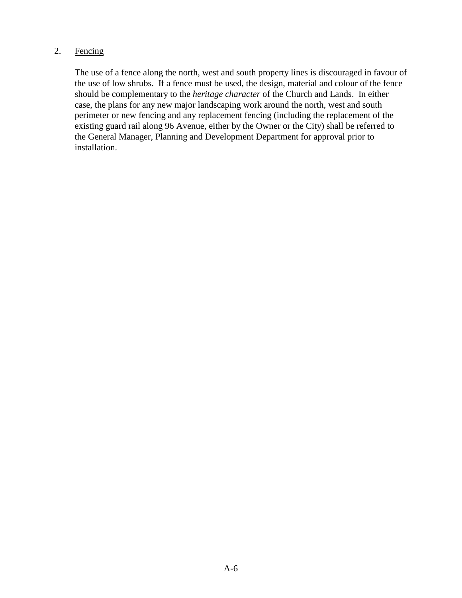# 2. Fencing

The use of a fence along the north, west and south property lines is discouraged in favour of the use of low shrubs. If a fence must be used, the design, material and colour of the fence should be complementary to the *heritage character* of the Church and Lands. In either case, the plans for any new major landscaping work around the north, west and south perimeter or new fencing and any replacement fencing (including the replacement of the existing guard rail along 96 Avenue, either by the Owner or the City) shall be referred to the General Manager, Planning and Development Department for approval prior to installation.